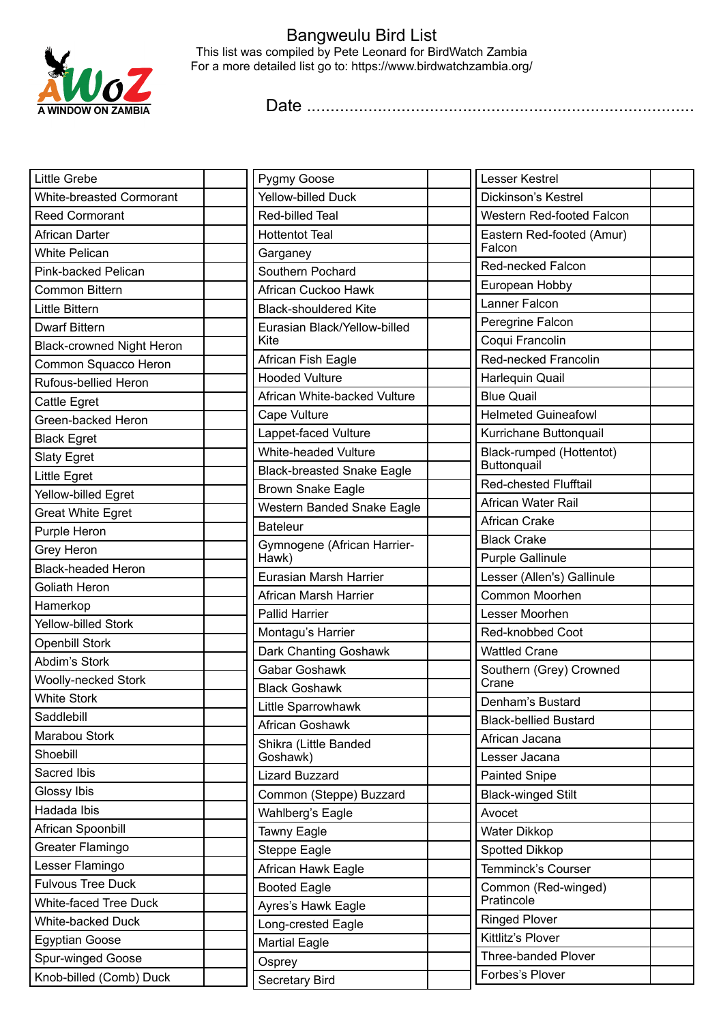

## Bangweulu Bird List This list was compiled by Pete Leonard for BirdWatch Zambia For a more detailed list go to: https://www.birdwatchzambia.org/

Date ..................................................................................

| Little Grebe                     | Pygmy Goose                                    | Lesser Kestrel                               |  |
|----------------------------------|------------------------------------------------|----------------------------------------------|--|
| <b>White-breasted Cormorant</b>  | <b>Yellow-billed Duck</b>                      | Dickinson's Kestrel                          |  |
| <b>Reed Cormorant</b>            | Red-billed Teal                                | Western Red-footed Falcon                    |  |
| African Darter                   | <b>Hottentot Teal</b>                          | Eastern Red-footed (Amur)                    |  |
| <b>White Pelican</b>             | Garganey                                       | Falcon                                       |  |
| Pink-backed Pelican              | Southern Pochard                               | Red-necked Falcon                            |  |
| Common Bittern                   | African Cuckoo Hawk                            | European Hobby                               |  |
| Little Bittern                   | <b>Black-shouldered Kite</b>                   | Lanner Falcon                                |  |
| <b>Dwarf Bittern</b>             | Eurasian Black/Yellow-billed                   | Peregrine Falcon                             |  |
| <b>Black-crowned Night Heron</b> | Kite                                           | Coqui Francolin                              |  |
| Common Squacco Heron             | African Fish Eagle                             | Red-necked Francolin                         |  |
| Rufous-bellied Heron             | <b>Hooded Vulture</b>                          | Harlequin Quail                              |  |
| Cattle Egret                     | African White-backed Vulture                   | <b>Blue Quail</b>                            |  |
| Green-backed Heron               | Cape Vulture                                   | <b>Helmeted Guineafowl</b>                   |  |
| <b>Black Egret</b>               | Lappet-faced Vulture                           | Kurrichane Buttonquail                       |  |
| <b>Slaty Egret</b>               | <b>White-headed Vulture</b>                    | Black-rumped (Hottentot)                     |  |
| Little Egret                     | <b>Black-breasted Snake Eagle</b>              | Buttonquail<br><b>Red-chested Flufftail</b>  |  |
| Yellow-billed Egret              | <b>Brown Snake Eagle</b>                       |                                              |  |
| <b>Great White Egret</b>         | Western Banded Snake Eagle                     | African Water Rail                           |  |
| Purple Heron                     | <b>Bateleur</b>                                | African Crake                                |  |
| Grey Heron                       | Gymnogene (African Harrier-                    | <b>Black Crake</b>                           |  |
| <b>Black-headed Heron</b>        | Hawk)                                          | Purple Gallinule                             |  |
| Goliath Heron                    | Eurasian Marsh Harrier                         | Lesser (Allen's) Gallinule<br>Common Moorhen |  |
| Hamerkop                         | African Marsh Harrier<br><b>Pallid Harrier</b> |                                              |  |
| <b>Yellow-billed Stork</b>       |                                                | Lesser Moorhen                               |  |
| <b>Openbill Stork</b>            | Montagu's Harrier                              | Red-knobbed Coot                             |  |
| Abdim's Stork                    | Dark Chanting Goshawk                          | <b>Wattled Crane</b>                         |  |
| <b>Woolly-necked Stork</b>       | <b>Gabar Goshawk</b>                           | Southern (Grey) Crowned<br>Crane             |  |
| <b>White Stork</b>               | <b>Black Goshawk</b>                           | Denham's Bustard                             |  |
| Saddlebill                       | Little Sparrowhawk                             | <b>Black-bellied Bustard</b>                 |  |
| Marabou Stork                    | African Goshawk                                | African Jacana                               |  |
| Shoebill                         | Shikra (Little Banded<br>Goshawk)              | Lesser Jacana                                |  |
| Sacred Ibis                      | <b>Lizard Buzzard</b>                          | <b>Painted Snipe</b>                         |  |
| Glossy Ibis                      | Common (Steppe) Buzzard                        | <b>Black-winged Stilt</b>                    |  |
| Hadada Ibis                      | Wahlberg's Eagle                               | Avocet                                       |  |
| African Spoonbill                | Tawny Eagle                                    | Water Dikkop                                 |  |
| Greater Flamingo                 | Steppe Eagle                                   | Spotted Dikkop                               |  |
| Lesser Flamingo                  | African Hawk Eagle                             | Temminck's Courser                           |  |
| <b>Fulvous Tree Duck</b>         | <b>Booted Eagle</b>                            | Common (Red-winged)                          |  |
| <b>White-faced Tree Duck</b>     | Ayres's Hawk Eagle                             | Pratincole                                   |  |
| White-backed Duck                | Long-crested Eagle                             | <b>Ringed Plover</b>                         |  |
| <b>Egyptian Goose</b>            | <b>Martial Eagle</b>                           | Kittlitz's Plover                            |  |
| Spur-winged Goose                | Osprey                                         | <b>Three-banded Plover</b>                   |  |
| Knob-billed (Comb) Duck          | Secretary Bird                                 | Forbes's Plover                              |  |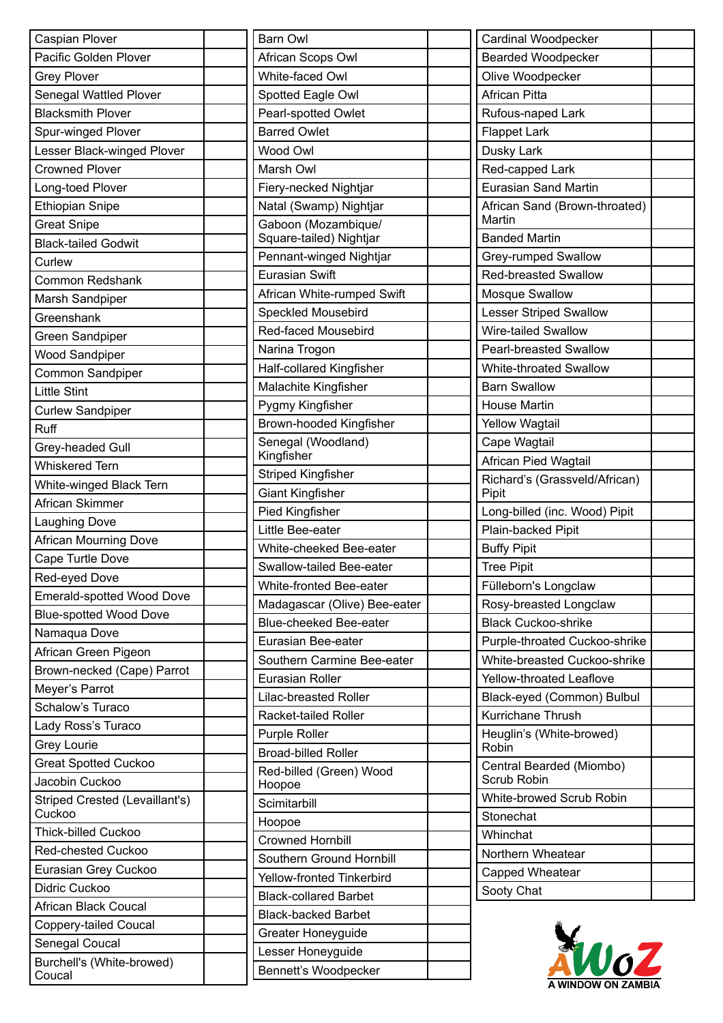| Caspian Plover                           | I                                                    |
|------------------------------------------|------------------------------------------------------|
| Pacific Golden Plover                    |                                                      |
| <b>Grey Plover</b>                       |                                                      |
| Senegal Wattled Plover                   | $\ddot{\cdot}$                                       |
| <b>Blacksmith Plover</b>                 | ľ                                                    |
| Spur-winged Plover                       | I                                                    |
| Lesser Black-winged Plover               |                                                      |
| <b>Crowned Plover</b>                    | ľ                                                    |
| Long-toed Plover                         | I                                                    |
| <b>Ethiopian Snipe</b>                   | ľ                                                    |
| <b>Great Snipe</b>                       | (                                                    |
| <b>Black-tailed Godwit</b>               |                                                      |
| Curlew                                   | Ī                                                    |
| <b>Common Redshank</b>                   | I                                                    |
| Marsh Sandpiper                          |                                                      |
| Greenshank                               | $\ddot{\cdot}$                                       |
| Green Sandpiper                          | Ī                                                    |
| <b>Wood Sandpiper</b>                    | ľ                                                    |
| Common Sandpiper                         | ł                                                    |
| <b>Little Stint</b>                      | ľ                                                    |
| <b>Curlew Sandpiper</b>                  | I                                                    |
| <b>Ruff</b>                              | I                                                    |
| Grey-headed Gull                         |                                                      |
| <b>Whiskered Tern</b>                    | ł                                                    |
| White-winged Black Tern                  | $\ddot{\cdot}$                                       |
| African Skimmer                          |                                                      |
| <b>Laughing Dove</b>                     | ľ                                                    |
| African Mourning Dove                    | $\overline{\phantom{a}}$                             |
| Cape Turtle Dove                         |                                                      |
| Red-eyed Dove                            |                                                      |
| Emerald-spotted Wood Dove                | ľ                                                    |
| <b>Blue-spotted Wood Dove</b>            | I                                                    |
| Namaqua Dove                             | I                                                    |
| African Green Pigeon                     |                                                      |
| Brown-necked (Cape) Parrot               | $\ddot{\cdot}$<br>I                                  |
| Meyer's Parrot                           | l                                                    |
| Schalow's Turaco                         | ľ                                                    |
| Lady Ross's Turaco                       | I                                                    |
| <b>Grey Lourie</b>                       | I                                                    |
| <b>Great Spotted Cuckoo</b>              |                                                      |
| Jacobin Cuckoo                           | I                                                    |
| Striped Crested (Levaillant's)<br>Cuckoo | $\ddot{\phantom{0}}$                                 |
| <b>Thick-billed Cuckoo</b>               | $\overline{\phantom{a}}$<br>$\overline{\phantom{a}}$ |
| <b>Red-chested Cuckoo</b>                |                                                      |
| Eurasian Grey Cuckoo                     | $\ddot{\cdot}$<br>Í                                  |
| Didric Cuckoo                            |                                                      |
| African Black Coucal                     | I                                                    |
| <b>Coppery-tailed Coucal</b>             | I                                                    |
| Senegal Coucal                           | $\overline{\phantom{a}}$                             |
| Burchell's (White-browed)                | I                                                    |
| Coucal                                   |                                                      |

| <b>Barn Owl</b>                   |  |
|-----------------------------------|--|
| African Scops Owl                 |  |
| White-faced Owl                   |  |
| Spotted Eagle Owl                 |  |
| Pearl-spotted Owlet               |  |
| <b>Barred Owlet</b>               |  |
| Wood Owl                          |  |
| Marsh Owl                         |  |
| Fiery-necked Nightjar             |  |
| Natal (Swamp) Nightjar            |  |
| Gaboon (Mozambique/               |  |
| Square-tailed) Nightjar           |  |
| Pennant-winged Nightjar           |  |
| Eurasian Swift                    |  |
| African White-rumped Swift        |  |
| <b>Speckled Mousebird</b>         |  |
| Red-faced Mousebird               |  |
| Narina Trogon                     |  |
| <b>Half-collared Kingfisher</b>   |  |
| Malachite Kingfisher              |  |
| Pygmy Kingfisher                  |  |
| Brown-hooded Kingfisher           |  |
| Senegal (Woodland)<br>Kingfisher  |  |
| Striped Kingfisher                |  |
| <b>Giant Kingfisher</b>           |  |
| <b>Pied Kingfisher</b>            |  |
| Little Bee-eater                  |  |
| White-cheeked Bee-eater           |  |
| Swallow-tailed Bee-eater          |  |
| White-fronted Bee-eater           |  |
| Madagascar (Olive) Bee-eater      |  |
| Blue-cheeked Bee-eater            |  |
| Eurasian Bee-eater                |  |
| Southern Carmine Bee-eater        |  |
| Eurasian Roller                   |  |
| Lilac-breasted Roller             |  |
| Racket-tailed Roller              |  |
| <b>Purple Roller</b>              |  |
| <b>Broad-billed Roller</b>        |  |
| Red-billed (Green) Wood<br>Hoopoe |  |
| Scimitarbill                      |  |
| Hoopoe                            |  |
| <b>Crowned Hornbill</b>           |  |
| Southern Ground Hornbill          |  |
| Yellow-fronted Tinkerbird         |  |
| <b>Black-collared Barbet</b>      |  |
| <b>Black-backed Barbet</b>        |  |
| Greater Honeyguide                |  |
| Lesser Honeyguide                 |  |
| Bennett's Woodpecker              |  |

| Cardinal Woodpecker                                           |  |
|---------------------------------------------------------------|--|
| <b>Bearded Woodpecker</b>                                     |  |
| Olive Woodpecker                                              |  |
| <b>African Pitta</b>                                          |  |
| Rufous-naped Lark                                             |  |
| <b>Flappet Lark</b>                                           |  |
| Dusky Lark                                                    |  |
| Red-capped Lark                                               |  |
| <b>Eurasian Sand Martin</b>                                   |  |
| African Sand (Brown-throated)<br>Martin                       |  |
| <b>Banded Martin</b>                                          |  |
| Grey-rumped Swallow                                           |  |
| <b>Red-breasted Swallow</b>                                   |  |
| <b>Mosque Swallow</b>                                         |  |
| <b>Lesser Striped Swallow</b>                                 |  |
| <b>Wire-tailed Swallow</b>                                    |  |
| <b>Pearl-breasted Swallow</b>                                 |  |
| White-throated Swallow                                        |  |
| <b>Barn Swallow</b>                                           |  |
| <b>House Martin</b>                                           |  |
| <b>Yellow Wagtail</b>                                         |  |
| Cape Wagtail                                                  |  |
| African Pied Wagtail                                          |  |
| Richard's (Grassveld/African)<br>Pipit                        |  |
| Long-billed (inc. Wood) Pipit                                 |  |
| Plain-backed Pipit                                            |  |
|                                                               |  |
|                                                               |  |
| <b>Buffy Pipit</b>                                            |  |
| <b>Tree Pipit</b>                                             |  |
| Fülleborn's Longclaw                                          |  |
| Rosy-breasted Longclaw                                        |  |
| <b>Black Cuckoo-shrike</b>                                    |  |
| Purple-throated Cuckoo-shrike<br>White-breasted Cuckoo-shrike |  |
| Yellow-throated Leaflove                                      |  |
|                                                               |  |
| Black-eyed (Common) Bulbul<br><b>Kurrichane Thrush</b>        |  |
| Heuglin's (White-browed)<br>Robin                             |  |
| Central Bearded (Miombo)<br>Scrub Robin                       |  |
| White-browed Scrub Robin                                      |  |
| Stonechat                                                     |  |
| Whinchat                                                      |  |
| Northern Wheatear                                             |  |
| Capped Wheatear                                               |  |